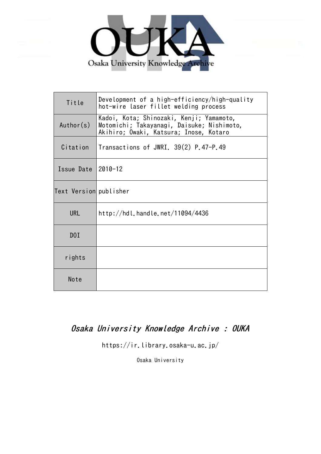

| Title                  | Development of a high-efficiency/high-quality<br>hot-wire laser fillet welding process                                           |  |  |  |  |  |
|------------------------|----------------------------------------------------------------------------------------------------------------------------------|--|--|--|--|--|
| Author(s)              | Kadoi, Kota; Shinozaki, Kenji; Yamamoto,<br>Motomichi; Takayanagi, Daisuke; Nishimoto,<br>Akihiro; Owaki, Katsura; Inose, Kotaro |  |  |  |  |  |
| Citation               | Transactions of JWRI. 39(2) P.47-P.49                                                                                            |  |  |  |  |  |
| Issue Date             | $2010 - 12$                                                                                                                      |  |  |  |  |  |
| Text Version publisher |                                                                                                                                  |  |  |  |  |  |
| <b>URL</b>             | http://hdl.handle.net/11094/4436                                                                                                 |  |  |  |  |  |
| DOI                    |                                                                                                                                  |  |  |  |  |  |
| rights                 |                                                                                                                                  |  |  |  |  |  |
| Note                   |                                                                                                                                  |  |  |  |  |  |

# Osaka University Knowledge Archive : OUKA

https://ir.library.osaka-u.ac.jp/

Osaka University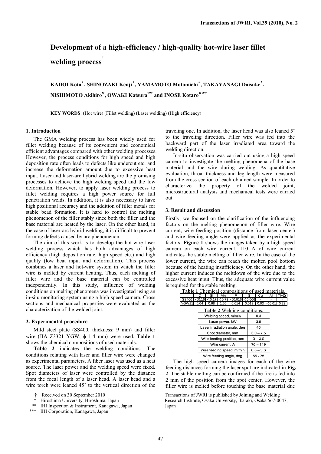# **Development of a high-efficiency / high-quality hot-wire laser fillet welding process†**

**KADOI Kota\*, SHINOZAKI Kenji\*, YAMAMOTO Motomichi\*, TAKAYANAGI Daisuke\*, NISHIMOTO Akihiro\*, OWAKI Katsura\*\* and INOSE Kotaro\*\*\***

**KEY WORDS**: (Hot wire) (Fillet welding) (Laser welding) (High efficiency)

### **1. Introduction**

The GMA welding process has been widely used for fillet welding because of its convenient and economical efficient advantages compared with other welding processes. However, the process conditions for high speed and high deposition rate often leads to defects like undercut etc. and increase the deformation amount due to excessive heat input. Laser and laser-arc hybrid welding are the promising processes to achieve the high welding speed and the low deformation. However, to apply laser welding process to fillet welding requires a high power source for full penetration welds. In addition, it is also necessary to have high positional accuracy and the addition of filler metals for stable bead formation. It is hard to control the melting phenomenon of the filler stably since both the filler and the base material are heated by the laser. On the other hand, in the case of laser-arc hybrid welding, it is difficult to prevent forming defects caused by arc phenomenon.

The aim of this work is to develop the hot-wire laser welding process which has both advantages of high efficiency (high deposition rate, high speed etc.) and high quality (low heat input and deformation). This process combines a laser and hot-wire system in which the filler wire is melted by current heating. Thus, each melting of filler wire and the base material can be controlled independently. In this study, influence of welding conditions on melting phenomena was investigated using an in-situ monitoring system using a high speed camera. Cross sections and mechanical properties were evaluated as the characterization of the welded joint.

### **2. Experimental procedure**

Mild steel plate (SS400, thickness: 9 mm) and filler wire (JIA Z3321 YGW,  $\phi$  1.4 mm) were used. **Table 1** shows the chemical compositions of used materials.

**Table 2** indicates the welding conditions. The conditions relating with laser and filler wire were changed as experimental parameters. A fiber laser was used as a heat source. The laser power and the welding speed were fixed. Spot diameters of laser were controlled by the distance from the focal length of a laser head. A laser head and a wire torch were leaned  $45^\circ$  to the vertical direction of the

traveling one. In addition, the laser head was also leaned 5° to the traveling direction. Filler wire was fed into the backward part of the laser irradiated area toward the welding direction.

In-situ observation was carried out using a high speed camera to investigate the melting phenomena of the base material and the wire during welding. As quantitative evaluation, throat thickness and leg length were measured from the cross section of each obtained sample. In order to characterize the property of the welded joint, microstructural analysis and mechanical tests were carried out.

### **3. Result and discussion**

Firstly, we focused on the clarification of the influencing factors on the melting phenomenon of filler wire. Wire current, wire feeding position (distance from laser center) and wire feeding angle were applied as the experimental factors. **Figure 1** shows the images taken by a high speed camera on each wire current. 110 A of wire current indicates the stable melting of filler wire. In the case of the lower current, the wire can reach the molten pool bottom because of the heating insufficiency. On the other hand, the higher current induces the meltdown of the wire due to the excessive heat input. Thus, the adequate wire current value is required for the stable melting.

| <b>Table 1</b> Chemical compositions of used materials. |  |  |  |                                                                  |  |  |  |  |  |  |
|---------------------------------------------------------|--|--|--|------------------------------------------------------------------|--|--|--|--|--|--|
|                                                         |  |  |  | Si Mn P S Cu Al Ti+Zr                                            |  |  |  |  |  |  |
|                                                         |  |  |  | $SS400$ $<$ 0.16 $<$ 0.17 $<$ 0.73 $<$ 0.016 $<$ 0.006 $\vert$ - |  |  |  |  |  |  |
|                                                         |  |  |  | YGW11 0.04 0.68 1.55 0.014 0.013 0.03 < 0.01 0.23                |  |  |  |  |  |  |

| <b>Table 2</b> Welding conditions. |             |  |  |  |  |
|------------------------------------|-------------|--|--|--|--|
| Welding speed, m/min               | 0.3         |  |  |  |  |
| Laser power, kW                    | 3.0         |  |  |  |  |
| Laser irradiation angle, deg       | 45          |  |  |  |  |
| Spot diameter, mm                  | $3.0 - 7.5$ |  |  |  |  |
| Wire feeding position, mm          | $0 - 3.0$   |  |  |  |  |
| Wire current, A                    | $70 - 149$  |  |  |  |  |
| Wire feeding speed, m/min          | $0.8 - 3.6$ |  |  |  |  |
| Wire feeding angle, deg            | 55 - 75     |  |  |  |  |

The high speed camera images for each of the wire feeding distances forming the laser spot are indicated in **Fig. 2**. The stable melting can be confirmed if the fire is fed into 2 mm of the position from the spot center. However, the filler wire is melted before touching the base material due

<sup>†</sup> Received on 30 September 2010

<sup>\*</sup> Hiroshima University, Hiroshima, Japan

<sup>\*\*</sup> IHI Inspection & Instrument, Kanagawa, Japan

<sup>\*\*\*</sup> IHI Corporation, Kanagawa, Japan

Transactions of JWRI is published by Joining and Welding Research Institute, Osaka University, Ibaraki, Osaka 567-0047, Japan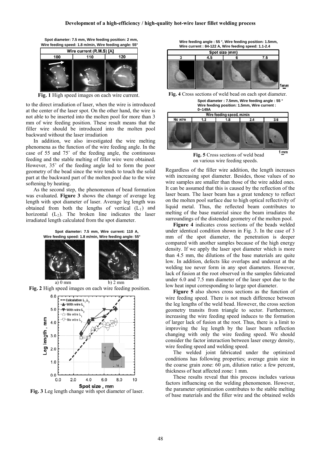**Spot diameter: 7.5 mm, Wire feeding position: 2 mm,** 



**Fig. 1** High speed images on each wire current.

to the direct irradiation of laser, when the wire is introduced at the center of the laser spot. On the other hand, the wire is not able to be inserted into the molten pool for more than 3 mm of wire feeding position. These result means that the filler wire should be introduced into the molten pool backward without the laser irradiation

In addition, we also investigated the wire melting phenomena as the function of the wire feeding angle. In the case of 55 and  $75^\circ$  of the feeding angle, the continuous feeding and the stable melting of filler wire were obtained. However,  $35^{\circ}$  of the feeding angle led to form the poor geometry of the bead since the wire tends to touch the solid part at the backward part of the molten pool due to the wire softening by heating.

As the second step, the phenomenon of bead formation was evaluated. **Figure 3** shows the change of average leg length with spot diameter of laser. Average leg length was obtained from both the lengths of vertical  $(L_1)$  and horizontal  $(L_2)$ . The broken line indicates the laser irradiated length calculated from the spot diameter.



**Fig. 2** High speed images on each wire feeding position.



**Fig. 3** Leg length change with spot diameter of laser.





**Fig. 4** Cross sections of weld bead on each spot diameter.

**Spot diameter : 7.5mm, Wire feeding angle : 55 ° Wire feeding position: 1.5mm, Wire current :** 



**Fig. 5** Cross sections of weld bead on various wire feeding speeds.

Regardless of the filler wire addition, the length increases with increasing spot diameter. Besides, those values of no wire samples are smaller than those of the wire added ones. It can be assumed that this is caused by the reflection of the laser beam. The laser beam has a great tendency to reflect on the molten pool surface due to high optical reflectivity of liquid metal. Thus, the reflected beam contributes to melting of the base material since the beam irradiates the surroundings of the distended geometry of the molten pool.

**Figure 4** indicates cross sections of the beads welded under identical condition shown in Fig. 3. In the case of 3 mm of the spot diameter, the penetration is deeper compared with another samples because of the high energy density. If we apply the laser spot diameter which is more than 4.5 mm, the dilutions of the base materials are quite low. In addition, defects like overlaps and undercut at the welding toe never form in any spot diameters. However, lack of fusion at the root observed in the samples fabricated under 6.0 and 7.5 mm diameter of the laser spot due to the low heat input corresponding to large spot diameter.

**Figure 5** also shows cross sections as the function of wire feeding speed. There is not much difference between the leg lengths of the weld bead. However, the cross section geometry transits from triangle to sector. Furthermore, increasing the wire feeding speed induces to the formation of larger lack of fusion at the root. Thus, there is a limit to improving the leg length by the laser beam reflection changing with only the wire feeding speed. We should consider the factor interaction between laser energy density, wire feeding speed and welding speed.

The welded joint fabricated under the optimized conditions has following properties; average grain size in the coarse grain zone: 60 μm, dilution ratio: a few percent, thickness of heat affected zone: 1 mm.

These results reveal that this process includes various factors influencing on the welding phenomenon. However, the parameter optimization contributes to the stable melting of base materials and the filler wire and the obtained welds